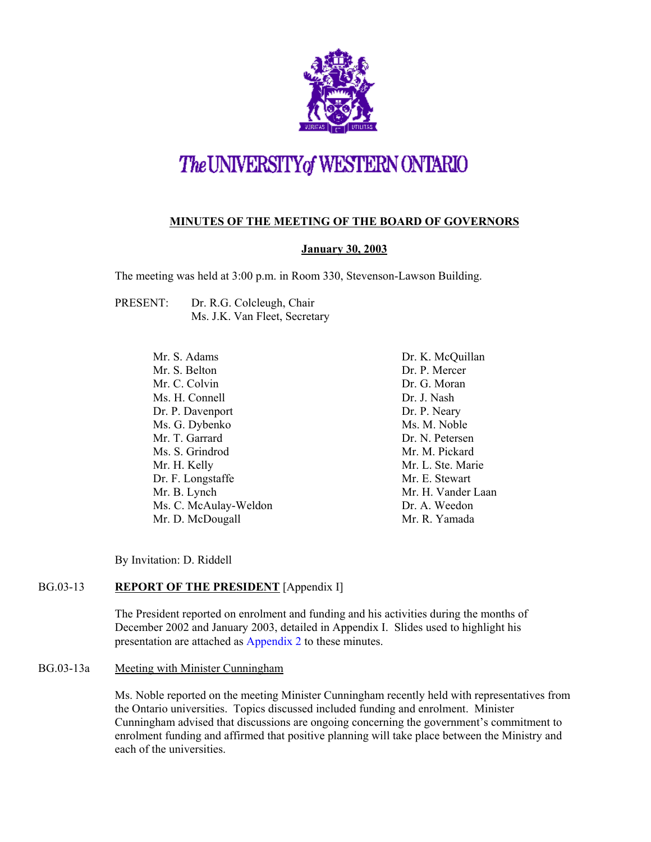

# The UNIVERSITY of WESTERN ONTARIO

## **MINUTES OF THE MEETING OF THE BOARD OF GOVERNORS**

### **January 30, 2003**

The meeting was held at 3:00 p.m. in Room 330, Stevenson-Lawson Building.

PRESENT: Dr. R.G. Colcleugh, Chair Ms. J.K. Van Fleet, Secretary

> Mr. S. Adams Mr. S. Belton Mr. C. Colvin Ms. H. Connell Dr. P. Davenport Ms. G. Dybenko Mr. T. Garrard Ms. S. Grindrod Mr. H. Kelly Dr. F. Longstaffe Mr. B. Lynch Ms. C. McAulay-Weldon Mr. D. McDougall

Dr. K. McQuillan Dr. P. Mercer Dr. G. Moran Dr. J. Nash Dr. P. Neary Ms. M. Noble Dr. N. Petersen Mr. M. Pickard Mr. L. Ste. Marie Mr. E. Stewart Mr. H. Vander Laan Dr. A. Weedon Mr. R. Yamada

By Invitation: D. Riddell

## BG.03-13 **REPORT OF THE PRESIDENT** [Appendix I]

The President reported on enrolment and funding and his activities during the months of December 2002 and January 2003, detailed in Appendix I. Slides used to highlight his presentation are attached as [Appendix 2 to](#page-5-0) these minutes.

#### BG.03-13a Meeting with Minister Cunningham

Ms. Noble reported on the meeting Minister Cunningham recently held with representatives from the Ontario universities. Topics discussed included funding and enrolment. Minister Cunningham advised that discussions are ongoing concerning the government's commitment to enrolment funding and affirmed that positive planning will take place between the Ministry and each of the universities.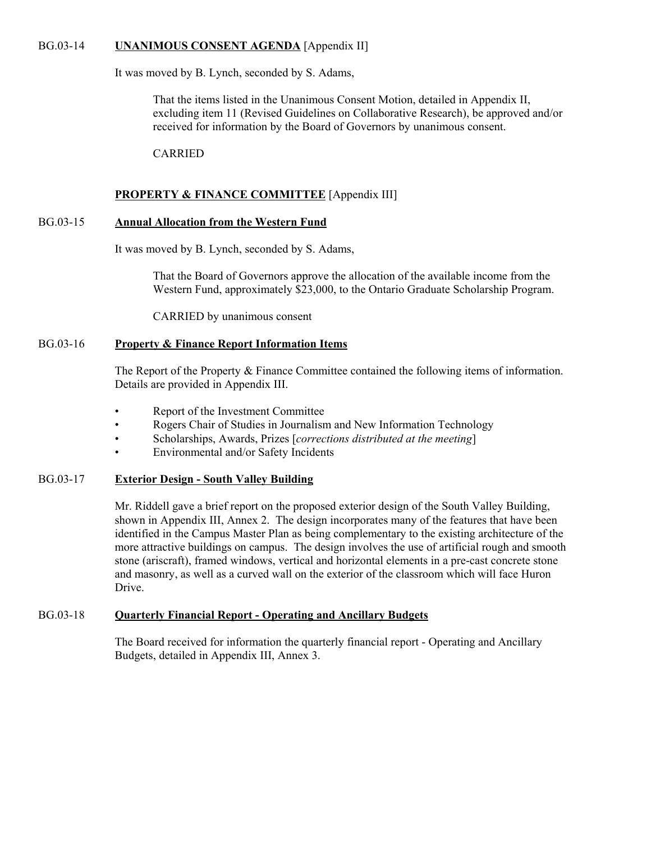#### BG.03-14 **UNANIMOUS CONSENT AGENDA** [Appendix II]

It was moved by B. Lynch, seconded by S. Adams,

That the items listed in the Unanimous Consent Motion, detailed in Appendix II, excluding item 11 (Revised Guidelines on Collaborative Research), be approved and/or received for information by the Board of Governors by unanimous consent.

CARRIED

#### **PROPERTY & FINANCE COMMITTEE** [Appendix III]

#### BG.03-15 **Annual Allocation from the Western Fund**

It was moved by B. Lynch, seconded by S. Adams,

That the Board of Governors approve the allocation of the available income from the Western Fund, approximately \$23,000, to the Ontario Graduate Scholarship Program.

CARRIED by unanimous consent

#### BG.03-16 **Property & Finance Report Information Items**

The Report of the Property & Finance Committee contained the following items of information. Details are provided in Appendix III.

- Report of the Investment Committee
- Rogers Chair of Studies in Journalism and New Information Technology
- Scholarships, Awards, Prizes [*corrections distributed at the meeting*]
- Environmental and/or Safety Incidents

### BG.03-17 **Exterior Design - South Valley Building**

Mr. Riddell gave a brief report on the proposed exterior design of the South Valley Building, shown in Appendix III, Annex 2. The design incorporates many of the features that have been identified in the Campus Master Plan as being complementary to the existing architecture of the more attractive buildings on campus. The design involves the use of artificial rough and smooth stone (ariscraft), framed windows, vertical and horizontal elements in a pre-cast concrete stone and masonry, as well as a curved wall on the exterior of the classroom which will face Huron Drive.

#### BG.03-18 **Quarterly Financial Report - Operating and Ancillary Budgets**

The Board received for information the quarterly financial report - Operating and Ancillary Budgets, detailed in Appendix III, Annex 3.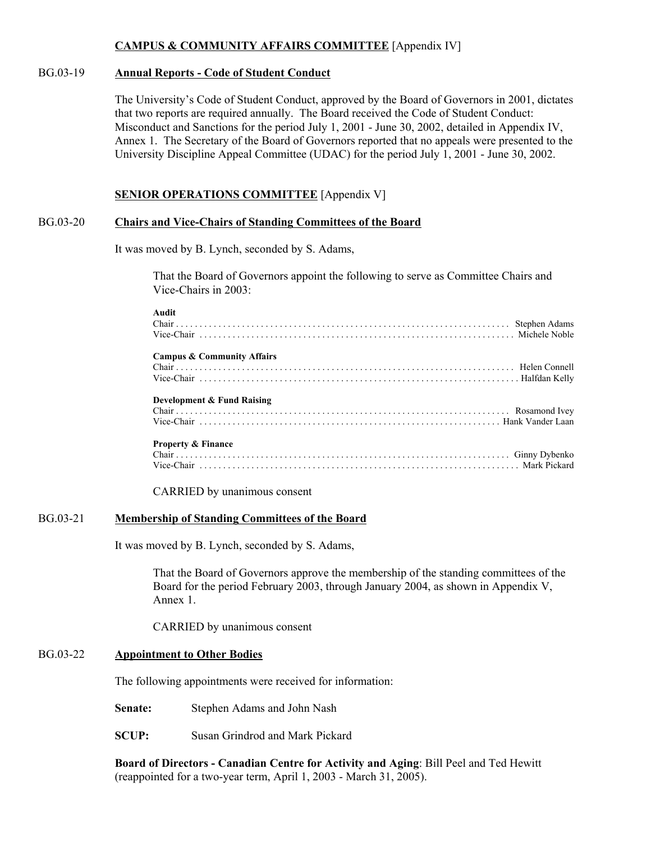### **CAMPUS & COMMUNITY AFFAIRS COMMITTEE** [Appendix IV]

#### BG.03-19 **Annual Reports - Code of Student Conduct**

The University's Code of Student Conduct, approved by the Board of Governors in 2001, dictates that two reports are required annually. The Board received the Code of Student Conduct: Misconduct and Sanctions for the period July 1, 2001 - June 30, 2002, detailed in Appendix IV, Annex 1. The Secretary of the Board of Governors reported that no appeals were presented to the University Discipline Appeal Committee (UDAC) for the period July 1, 2001 - June 30, 2002.

#### **SENIOR OPERATIONS COMMITTEE** [Appendix V]

#### BG.03-20 **Chairs and Vice-Chairs of Standing Committees of the Board**

It was moved by B. Lynch, seconded by S. Adams,

That the Board of Governors appoint the following to serve as Committee Chairs and Vice-Chairs in 2003:

#### **Audit**

| анин                                  |  |
|---------------------------------------|--|
| <b>Campus &amp; Community Affairs</b> |  |
| <b>Development &amp; Fund Raising</b> |  |
| <b>Property &amp; Finance</b>         |  |

CARRIED by unanimous consent

#### BG.03-21 **Membership of Standing Committees of the Board**

It was moved by B. Lynch, seconded by S. Adams,

That the Board of Governors approve the membership of the standing committees of the Board for the period February 2003, through January 2004, as shown in Appendix V, Annex 1.

CARRIED by unanimous consent

#### BG.03-22 **Appointment to Other Bodies**

The following appointments were received for information:

**Senate:** Stephen Adams and John Nash

**SCUP:** Susan Grindrod and Mark Pickard

**Board of Directors - Canadian Centre for Activity and Aging**: Bill Peel and Ted Hewitt (reappointed for a two-year term, April 1, 2003 - March 31, 2005).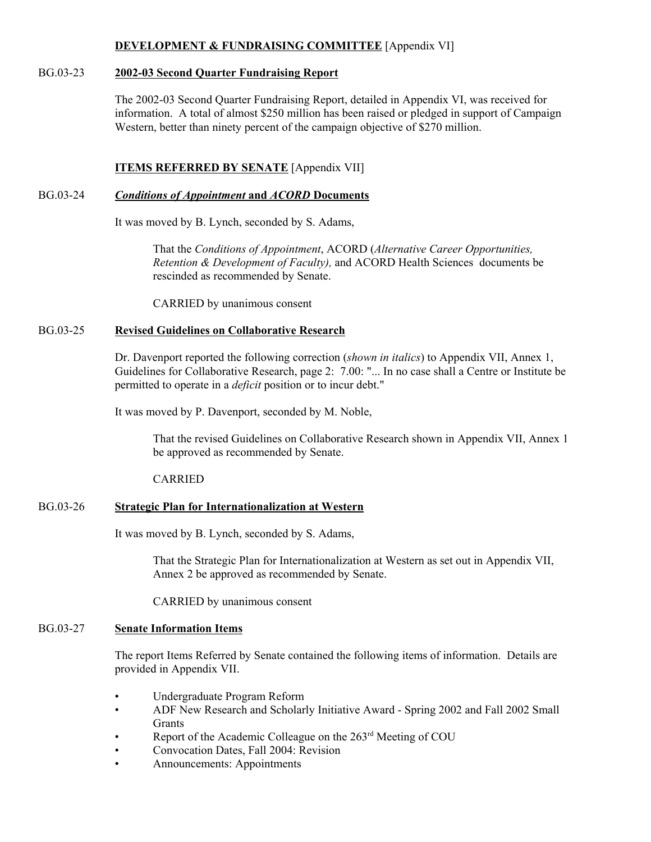#### **DEVELOPMENT & FUNDRAISING COMMITTEE** [Appendix VI]

#### BG.03-23 **2002-03 Second Quarter Fundraising Report**

The 2002-03 Second Quarter Fundraising Report, detailed in Appendix VI, was received for information. A total of almost \$250 million has been raised or pledged in support of Campaign Western, better than ninety percent of the campaign objective of \$270 million.

## **ITEMS REFERRED BY SENATE** [Appendix VII]

### BG.03-24 *Conditions of Appointment* **and** *ACORD* **Documents**

It was moved by B. Lynch, seconded by S. Adams,

That the *Conditions of Appointment*, ACORD (*Alternative Career Opportunities, Retention & Development of Faculty),* and ACORD Health Sciences documents be rescinded as recommended by Senate.

CARRIED by unanimous consent

#### BG.03-25 **Revised Guidelines on Collaborative Research**

Dr. Davenport reported the following correction (*shown in italics*) to Appendix VII, Annex 1, Guidelines for Collaborative Research, page 2: 7.00: "... In no case shall a Centre or Institute be permitted to operate in a *deficit* position or to incur debt."

It was moved by P. Davenport, seconded by M. Noble,

That the revised Guidelines on Collaborative Research shown in Appendix VII, Annex 1 be approved as recommended by Senate.

#### CARRIED

#### BG.03-26 **Strategic Plan for Internationalization at Western**

It was moved by B. Lynch, seconded by S. Adams,

That the Strategic Plan for Internationalization at Western as set out in Appendix VII, Annex 2 be approved as recommended by Senate.

CARRIED by unanimous consent

#### BG.03-27 **Senate Information Items**

The report Items Referred by Senate contained the following items of information. Details are provided in Appendix VII.

- Undergraduate Program Reform
- ADF New Research and Scholarly Initiative Award Spring 2002 and Fall 2002 Small Grants
- Report of the Academic Colleague on the 263<sup>rd</sup> Meeting of COU
- Convocation Dates, Fall 2004: Revision
- Announcements: Appointments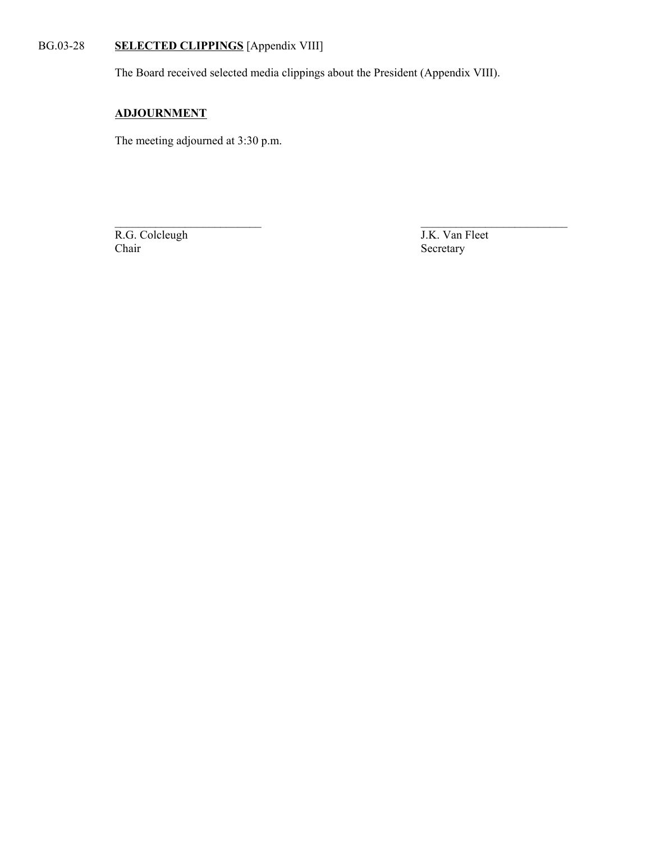## BG.03-28 **SELECTED CLIPPINGS** [Appendix VIII]

The Board received selected media clippings about the President (Appendix VIII).

 $\mathcal{L}_\text{max}$  , and the contract of the contract of the contract of the contract of the contract of the contract of the contract of the contract of the contract of the contract of the contract of the contract of the contr

## **ADJOURNMENT**

The meeting adjourned at 3:30 p.m.

R.G. Colcleugh J.K. Van Fleet Chair Secretary

Secretary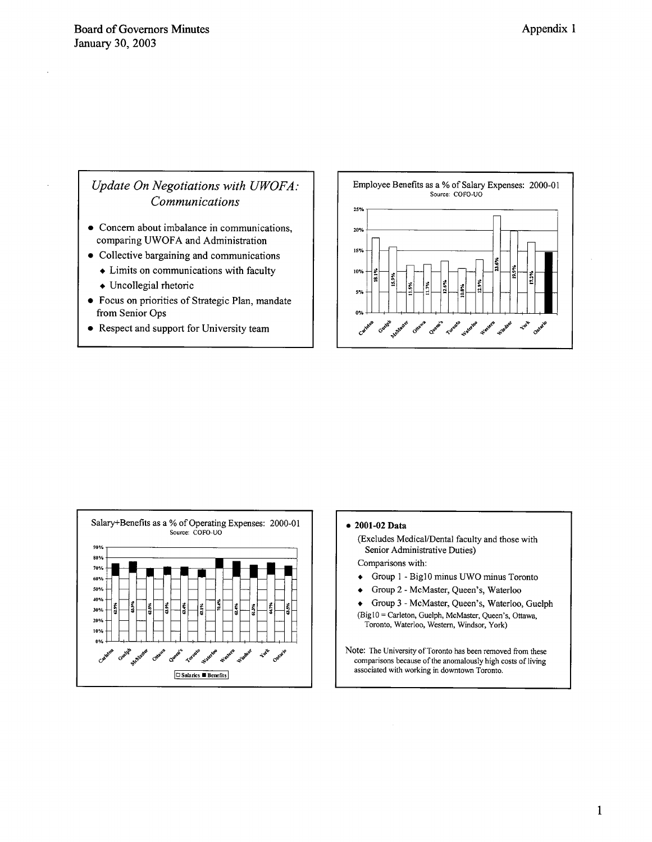## Update On Negotiations with UWOFA: Communications

- Concern about imbalance in communications, comparing UWOFA and Administration
- Collective bargaining and communications
	- $\bullet$  Limits on communications with faculty
	- Uncollegial rhetoric
- Focus on priorities of Strategic Plan, mandate from Senior Ops
- Respect and support for University team





#### $\bullet$  2001-02 Data

(Excludes Medical/Dental faculty and those with Senior Administrative Duties)

Comparisons with:

- Group 1 Big10 minus UWO minus Toronto  $\bullet$
- Group 2 McMaster, Queen's, Waterloo  $\bullet$

Group 3 - McMaster, Queen's, Waterloo, Guelph (Big10 = Carleton, Guelph, McMaster, Queen's, Ottawa, Toronto, Waterloo, Western, Windsor, York)

Note: The University of Toronto has been removed from these comparisons because of the anomalously high costs of living associated with working in downtown Toronto.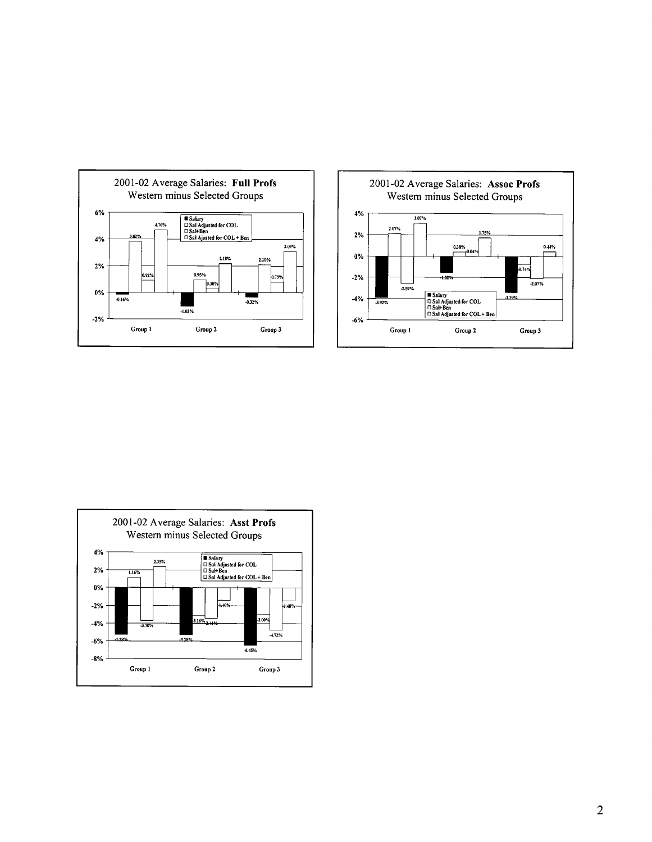